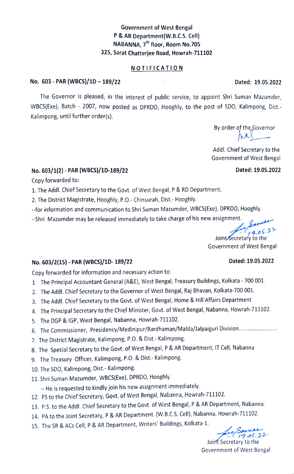# Government of West Bengal P& AR Department(W.B.c.s. Cell) NABANNA, 7<sup>th</sup> floor, Room No.705 325, Sarat Chatterjee Road, Howrah-711102

#### NOTIFICATION

#### No. 603-PAR (WBCS)/1D-189/22 Dated: 19.05.2022

The Governor is pleased; in the interest of public service, to appoint Shri Suman Mazumder, WBCS(Exe), Batch - 2007, now posted as DPRDO, Hooghly, to the post of SDO, Kalimpong, Dist.-Kalimpong, until further order(s).

By order of the Governor<br> $\overline{MN}$ 

Addl. Chief Secretary to the Government of West Bengal

## No. 603/1(2)- PAR (WBCS)/1D-189/22 Dated: 19.05.2022

Copy forwarded to:

1. The Addl. Chief Secretary to the Govt. of West Bengal, P & RD Department.

2. The District Magistrate, Hooghly, P.O.- Chinsurah, Dist.- Hooghly.

--for information and communication to Shri Suman Mazumder, WBCS(Exe), DPRDO, Hooghly.

-Shri Mazumder may be released immediately to take charge of his new assignment.

 $9.05.22$ Joint Secretary to the Government of West Bengal

## No. 603/2(15)- PAR (WBCS)/1D- 189/22 Dated: 19.05.2022

Copy forwarded for information and necessary action to:

- 1. The Principal Accountant General (A&E), West Bengal, Treasury Buildings, Kolkata 700 001.
- 2. The Addl. Chief Secretary to the Governor of West Bengal, Raj Bhavan, Kolkata-700 001.
- 3. The Addl. Chief Secretary to the Govt. of West Bengal, Home & Hill Affairs Department
- 4. The Principal Secretary to the Chief Minister, Govt. of West Bengal, Nabanna, Howrah-711102.
- 5. The DGP& IGP, West Bengal, Nabanna, Howrah-711102.
- 6. The Commissioner, Presidency/Medinipur/Bardhaman/Malda/lalpaiguri Division...
- 7. The District Magistrate, Kalimpong, P.O. & Dist.- Kalimpong.
- 8. The Special Secretary to the Govt. of West Bengal, P & AR Department, IT Cell, Nabanna
- 9. The Treasury Officer, Kalimpong, P.O. & Dist.- Kalimpong.
- 10. The SD0, Kalimpong, Dist.- Kalimpong.
- 11. Shri Suman Mazumder, WBCS(Exe), DPRDO, Hooghly.

-- He is requested to kindly join his new assignment immediately.

- 12. PS to the Chief Secretary, Govt. of West Bengal, Nabanna, Howrah-711102.
- 13. P.S. to the Addl. Chief Secretary to the Govt. of West Bengal, P & AR Department, Nabanna.
- 14. PA to the Joint Secretary, P & AR Department. (W.B.C.S. Cell), Nabanna, Howrah-711102.
- 15. The SR & ACs Cell, P& AR Department, Writers' Buildings, Kolkata-1.

 $19.05.22$ 

Joint Secretary to the Government of West Bengal